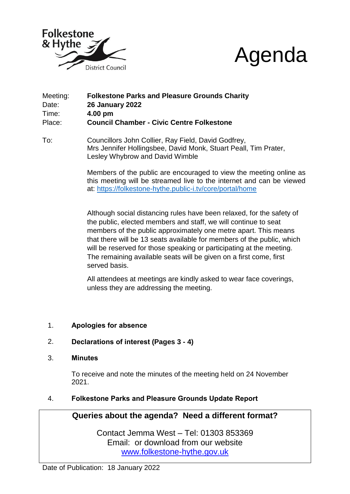



- Meeting: **Folkestone Parks and Pleasure Grounds Charity** Date: **26 January 2022** Time: **4.00 pm** Place: **Council Chamber - Civic Centre Folkestone**
- To: Councillors John Collier, Ray Field, David Godfrey, Mrs Jennifer Hollingsbee, David Monk, Stuart Peall, Tim Prater, Lesley Whybrow and David Wimble

Members of the public are encouraged to view the meeting online as this meeting will be streamed live to the internet and can be viewed at:<https://folkestone-hythe.public-i.tv/core/portal/home>

Although social distancing rules have been relaxed, for the safety of the public, elected members and staff, we will continue to seat members of the public approximately one metre apart. This means that there will be 13 seats available for members of the public, which will be reserved for those speaking or participating at the meeting. The remaining available seats will be given on a first come, first served basis.

All attendees at meetings are kindly asked to wear face coverings, unless they are addressing the meeting.

- 1. **Apologies for absence**
- 2. **Declarations of interest (Pages 3 - 4)**
- 3. **Minutes**

To receive and note the minutes of the meeting held on 24 November 2021.

## 4. **Folkestone Parks and Pleasure Grounds Update Report**

## **Queries about the agenda? Need a different format?**

Contact Jemma West – Tel: 01303 853369 Email: or download from our website [www.folkestone-hythe.gov.uk](http://www.shepway.gov.uk/)